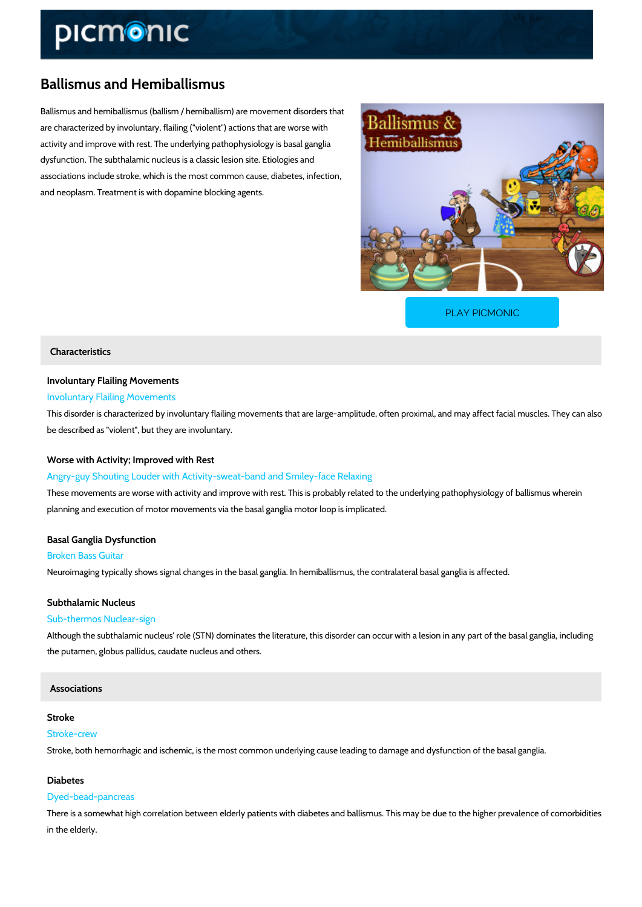# Ballismus and Hemiballismus

Ballismus and hemiballismus (ballism / hemiballism) are movement disorders that are characterized by involuntary, flailing ("violent") actions that are worse with activity and improve with rest. The underlying pathophysiology is basal ganglia dysfunction. The subthalamic nucleus is a classic lesion site. Etiologies and associations include stroke, which is the most common cause, diabetes, infection, and neoplasm. Treatment is with dopamine blocking agents.

[PLAY PICMONIC](https://www.picmonic.com/learn/hemiballismus_50062?utm_source=downloadable_content&utm_medium=distributedcontent&utm_campaign=pathways_pdf&utm_content=Ballismus and Hemiballismus&utm_ad_group=leads&utm_market=all)

### Characteristics

# Involuntary Flailing Movements

### Involuntary Flailing Movements

This disorder is characterized by involuntary flailing movements that are large-amplitude, ofte be described as "violent", but they are involuntary.

#### Worse with Activity; Improved with Rest

Angry-guy Shouting Louder with Activity-sweat-band and Smiley-face Relaxing These movements are worse with activity and improve with rest. This is probably related to th planning and execution of motor movements via the basal ganglia motor loop is implicated.

### Basal Ganglia Dysfunction

#### Broken Bass Guitar

Neuroimaging typically shows signal changes in the basal ganglia. In hemiballismus, the contra

### Subthalamic Nucleus

### Sub-thermos Nuclear-sign

Although the subthalamic nucleus' role (STN) dominates the literature, this disorder can occu the putamen, globus pallidus, caudate nucleus and others.

### Associations

### Stroke

### Stroke-crew

Stroke, both hemorrhagic and ischemic, is the most common underlying cause leading to dama

### Diabetes

### Dyed-bead-pancreas

There is a somewhat high correlation between elderly patients with diabetes and ballismus. The may be the higher prevalence of comorbidities of comorbidities of como in the elderly.